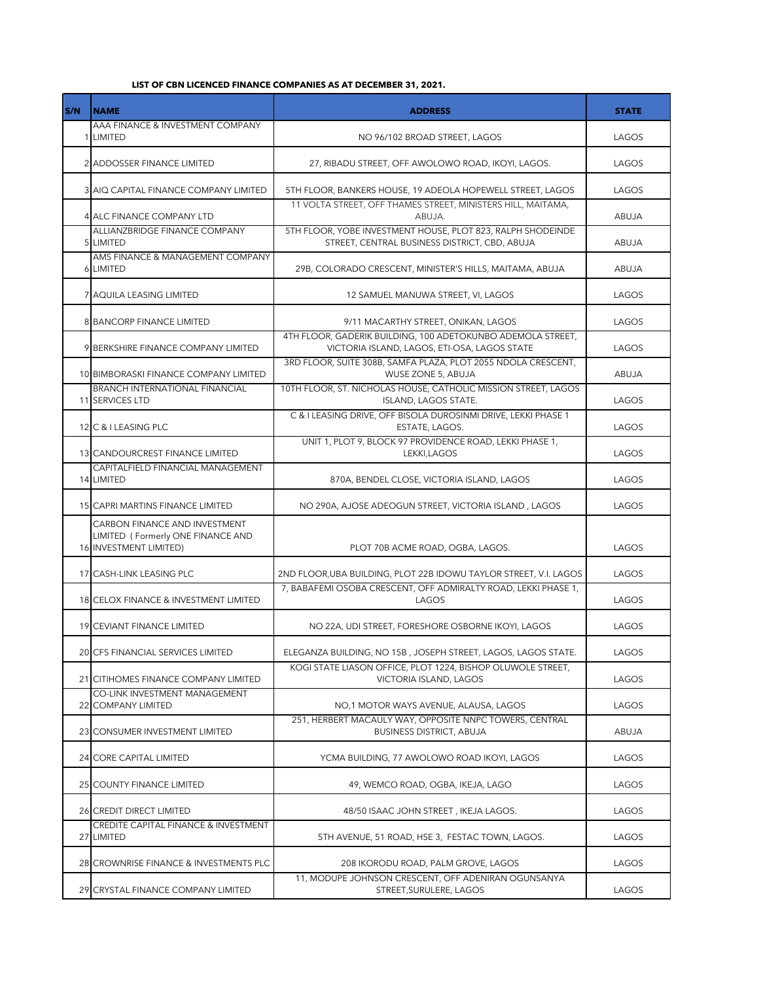## **LIST OF CBN LICENCED FINANCE COMPANIES AS AT DECEMBER 31, 2021.**

| S/N | <b>NAME</b>                                                                                  | <b>ADDRESS</b>                                                                                               | <b>STATE</b> |
|-----|----------------------------------------------------------------------------------------------|--------------------------------------------------------------------------------------------------------------|--------------|
|     | AAA FINANCE & INVESTMENT COMPANY<br>1 LIMITED                                                | NO 96/102 BROAD STREET, LAGOS                                                                                | LAGOS        |
|     | 2 ADDOSSER FINANCE LIMITED                                                                   | 27, RIBADU STREET, OFF AWOLOWO ROAD, IKOYI, LAGOS.                                                           | LAGOS        |
|     | 3 AIQ CAPITAL FINANCE COMPANY LIMITED                                                        | 5TH FLOOR, BANKERS HOUSE, 19 ADEOLA HOPEWELL STREET, LAGOS                                                   | LAGOS        |
|     | 4 ALC FINANCE COMPANY LTD                                                                    | 11 VOLTA STREET, OFF THAMES STREET, MINISTERS HILL, MAITAMA,<br>ABUJA.                                       | ABUJA        |
|     | ALLIANZBRIDGE FINANCE COMPANY<br>5 LIMITED                                                   | 5TH FLOOR, YOBE INVESTMENT HOUSE, PLOT 823, RALPH SHODEINDE<br>STREET, CENTRAL BUSINESS DISTRICT, CBD, ABUJA | ABUJA        |
|     | AMS FINANCE & MANAGEMENT COMPANY<br>6 LIMITED                                                | 29B, COLORADO CRESCENT, MINISTER'S HILLS, MAITAMA, ABUJA                                                     | ABUJA        |
|     | 7 AQUILA LEASING LIMITED                                                                     | 12 SAMUEL MANUWA STREET, VI, LAGOS                                                                           | LAGOS        |
|     | <b>8 BANCORP FINANCE LIMITED</b>                                                             | 9/11 MACARTHY STREET, ONIKAN, LAGOS                                                                          | LAGOS        |
|     | 9 BERKSHIRE FINANCE COMPANY LIMITED                                                          | 4TH FLOOR, GADERIK BUILDING, 100 ADETOKUNBO ADEMOLA STREET.<br>VICTORIA ISLAND, LAGOS, ETI-OSA, LAGOS STATE  | LAGOS        |
|     | 10 BIMBORASKI FINANCE COMPANY LIMITED                                                        | 3RD FLOOR, SUITE 308B, SAMFA PLAZA, PLOT 2055 NDOLA CRESCENT,<br>WUSE ZONE 5, ABUJA                          | ABUJA        |
|     | <b>BRANCH INTERNATIONAL FINANCIAL</b><br>11 SERVICES LTD                                     | 10TH FLOOR, ST. NICHOLAS HOUSE, CATHOLIC MISSION STREET, LAGOS<br>ISLAND, LAGOS STATE.                       | LAGOS        |
|     | 12 C & I LEASING PLC                                                                         | C & I LEASING DRIVE, OFF BISOLA DUROSINMI DRIVE, LEKKI PHASE 1<br>ESTATE, LAGOS.                             | LAGOS        |
|     | 13 CANDOURCREST FINANCE LIMITED                                                              | UNIT 1, PLOT 9, BLOCK 97 PROVIDENCE ROAD, LEKKI PHASE 1,<br>LEKKI, LAGOS                                     | LAGOS        |
|     | CAPITALFIELD FINANCIAL MANAGEMENT<br>14 LIMITED                                              | 870A, BENDEL CLOSE, VICTORIA ISLAND, LAGOS                                                                   | LAGOS        |
|     | 15 CAPRI MARTINS FINANCE LIMITED                                                             | NO 290A, AJOSE ADEOGUN STREET, VICTORIA ISLAND, LAGOS                                                        | LAGOS        |
|     | CARBON FINANCE AND INVESTMENT<br>LIMITED (Formerly ONE FINANCE AND<br>16 INVESTMENT LIMITED) | PLOT 70B ACME ROAD, OGBA, LAGOS.                                                                             | LAGOS        |
|     | 17 CASH-LINK LEASING PLC                                                                     | 2ND FLOOR, UBA BUILDING, PLOT 22B IDOWU TAYLOR STREET, V.I. LAGOS                                            | LAGOS        |
|     | 18 CELOX FINANCE & INVESTMENT LIMITED                                                        | 7, BABAFEMI OSOBA CRESCENT, OFF ADMIRALTY ROAD, LEKKI PHASE 1,<br>LAGOS                                      | LAGOS        |
|     | <b>19 CEVIANT FINANCE LIMITED</b>                                                            | NO 22A, UDI STREET, FORESHORE OSBORNE IKOYI, LAGOS                                                           | LAGOS        |
|     | 20 CFS FINANCIAL SERVICES LIMITED                                                            | ELEGANZA BUILDING, NO 15B, JOSEPH STREET, LAGOS, LAGOS STATE.                                                | LAGOS        |
|     | 21 CITIHOMES FINANCE COMPANY LIMITED                                                         | KOGI STATE LIASON OFFICE, PLOT 1224, BISHOP OLUWOLE STREET.<br>VICTORIA ISLAND, LAGOS                        | LAGOS        |
|     | CO-LINK INVESTMENT MANAGEMENT<br>22 COMPANY LIMITED                                          | NO,1 MOTOR WAYS AVENUE, ALAUSA, LAGOS                                                                        | LAGOS        |
|     | 23 CONSUMER INVESTMENT LIMITED                                                               | 251. HERBERT MACAULY WAY, OPPOSITE NNPC TOWERS, CENTRAL<br><b>BUSINESS DISTRICT, ABUJA</b>                   | ABUJA        |
|     | 24 CORE CAPITAL LIMITED                                                                      | YCMA BUILDING, 77 AWOLOWO ROAD IKOYI, LAGOS                                                                  | LAGOS        |
|     | 25 COUNTY FINANCE LIMITED                                                                    | 49, WEMCO ROAD, OGBA, IKEJA, LAGO                                                                            | LAGOS        |
|     | 26 CREDIT DIRECT LIMITED                                                                     | 48/50 ISAAC JOHN STREET, IKEJA LAGOS.                                                                        | LAGOS        |
|     | CREDITE CAPITAL FINANCE & INVESTMENT<br>27 LIMITED                                           | 5TH AVENUE, 51 ROAD, HSE 3, FESTAC TOWN, LAGOS.                                                              | LAGOS        |
|     | 28 CROWNRISE FINANCE & INVESTMENTS PLC                                                       | 208 IKORODU ROAD, PALM GROVE, LAGOS                                                                          | LAGOS        |
|     | 29 CRYSTAL FINANCE COMPANY LIMITED                                                           | 11, MODUPE JOHNSON CRESCENT, OFF ADENIRAN OGUNSANYA<br>STREET, SURULERE, LAGOS                               | LAGOS        |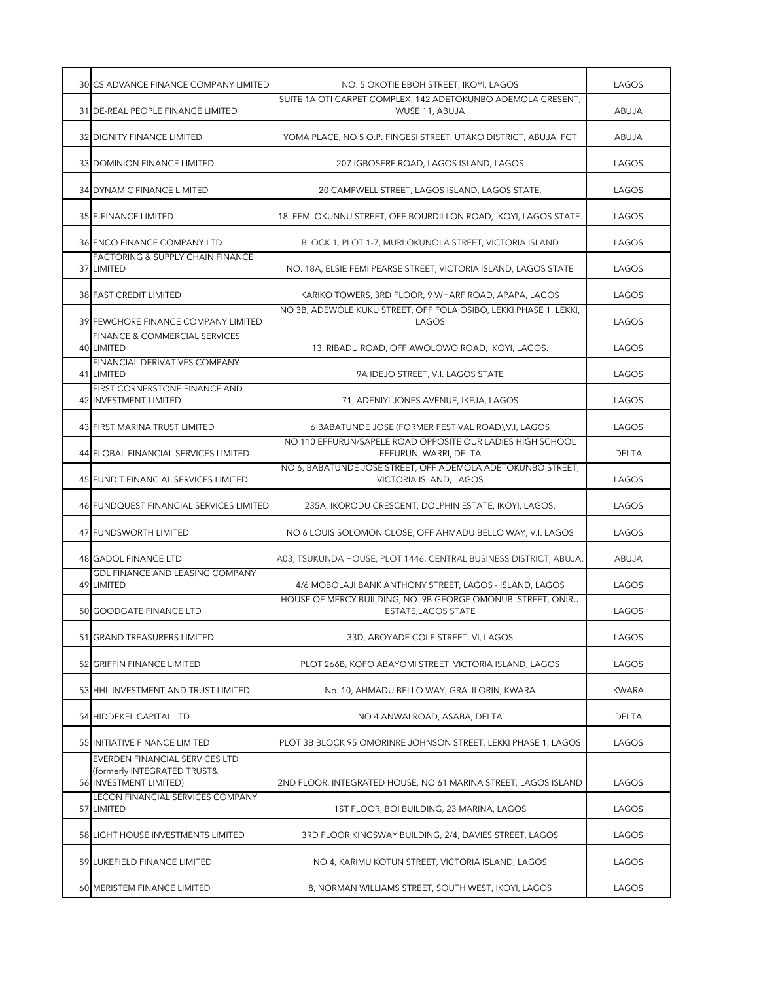| 30 CS ADVANCE FINANCE COMPANY LIMITED                                                   | NO. 5 OKOTIE EBOH STREET, IKOYI, LAGOS                                                | LAGOS        |
|-----------------------------------------------------------------------------------------|---------------------------------------------------------------------------------------|--------------|
| 31 DE-REAL PEOPLE FINANCE LIMITED                                                       | SUITE 1A OTI CARPET COMPLEX, 142 ADETOKUNBO ADEMOLA CRESENT,<br>WUSE 11, ABUJA        | ABUJA        |
| 32 DIGNITY FINANCE LIMITED                                                              | YOMA PLACE, NO 5 O.P. FINGESI STREET, UTAKO DISTRICT, ABUJA, FCT                      | ABUJA        |
| 33 DOMINION FINANCE LIMITED                                                             | 207 IGBOSERE ROAD, LAGOS ISLAND, LAGOS                                                | LAGOS        |
| 34 DYNAMIC FINANCE LIMITED                                                              | 20 CAMPWELL STREET, LAGOS ISLAND, LAGOS STATE.                                        | LAGOS        |
| 35 E-FINANCE LIMITED                                                                    | 18, FEMI OKUNNU STREET, OFF BOURDILLON ROAD, IKOYI, LAGOS STATE.                      | LAGOS        |
| 36 ENCO FINANCE COMPANY LTD                                                             | BLOCK 1, PLOT 1-7, MURI OKUNOLA STREET, VICTORIA ISLAND                               | LAGOS        |
| FACTORING & SUPPLY CHAIN FINANCE<br>37 LIMITED                                          | NO. 18A, ELSIE FEMI PEARSE STREET, VICTORIA ISLAND, LAGOS STATE                       | LAGOS        |
| 38 FAST CREDIT LIMITED                                                                  | KARIKO TOWERS, 3RD FLOOR, 9 WHARF ROAD, APAPA, LAGOS                                  | LAGOS        |
| 39 FEWCHORE FINANCE COMPANY LIMITED                                                     | NO 3B, ADEWOLE KUKU STREET, OFF FOLA OSIBO, LEKKI PHASE 1, LEKKI,<br>LAGOS            | LAGOS        |
| FINANCE & COMMERCIAL SERVICES<br>40 LIMITED                                             | 13, RIBADU ROAD, OFF AWOLOWO ROAD, IKOYI, LAGOS.                                      | LAGOS        |
| FINANCIAL DERIVATIVES COMPANY<br>41 LIMITED                                             | 9A IDEJO STREET, V.I. LAGOS STATE                                                     | LAGOS        |
| FIRST CORNERSTONE FINANCE AND<br>42 INVESTMENT LIMITED                                  | 71, ADENIYI JONES AVENUE, IKEJA, LAGOS                                                | LAGOS        |
| 43 FIRST MARINA TRUST LIMITED                                                           | 6 BABATUNDE JOSE (FORMER FESTIVAL ROAD), V.I, LAGOS                                   | LAGOS        |
| 44 FLOBAL FINANCIAL SERVICES LIMITED                                                    | NO 110 EFFURUN/SAPELE ROAD OPPOSITE OUR LADIES HIGH SCHOOL<br>EFFURUN, WARRI, DELTA   | <b>DELTA</b> |
| 45 FUNDIT FINANCIAL SERVICES LIMITED                                                    | NO 6, BABATUNDE JOSE STREET, OFF ADEMOLA ADETOKUNBO STREET,<br>VICTORIA ISLAND, LAGOS | LAGOS        |
| 46 FUNDQUEST FINANCIAL SERVICES LIMITED                                                 | 235A, IKORODU CRESCENT, DOLPHIN ESTATE, IKOYI, LAGOS.                                 | LAGOS        |
| 47 FUNDSWORTH LIMITED                                                                   | NO 6 LOUIS SOLOMON CLOSE, OFF AHMADU BELLO WAY, V.I. LAGOS                            | LAGOS        |
| 48 GADOL FINANCE LTD                                                                    | A03, TSUKUNDA HOUSE, PLOT 1446, CENTRAL BUSINESS DISTRICT, ABUJA.                     | ABUJA        |
| GDL FINANCE AND LEASING COMPANY<br>49 LIMITED                                           | 4/6 MOBOLAJI BANK ANTHONY STREET, LAGOS - ISLAND, LAGOS                               | LAGOS        |
| 50 GOODGATE FINANCE LTD                                                                 | HOUSE OF MERCY BUILDING, NO. 9B GEORGE OMONUBI STREET, ONIRU<br>ESTATE, LAGOS STATE   | LAGOS        |
| 51 GRAND TREASURERS LIMITED                                                             | 33D, ABOYADE COLE STREET, VI, LAGOS                                                   | LAGOS        |
| 52 GRIFFIN FINANCE LIMITED                                                              | PLOT 266B, KOFO ABAYOMI STREET, VICTORIA ISLAND, LAGOS                                | LAGOS        |
| 53 HHL INVESTMENT AND TRUST LIMITED                                                     | No. 10, AHMADU BELLO WAY, GRA, ILORIN, KWARA                                          | <b>KWARA</b> |
| 54 HIDDEKEL CAPITAL LTD                                                                 | NO 4 ANWAI ROAD, ASABA, DELTA                                                         | DELTA        |
| 55 INITIATIVE FINANCE LIMITED                                                           | PLOT 3B BLOCK 95 OMORINRE JOHNSON STREET, LEKKI PHASE 1, LAGOS                        | LAGOS        |
| EVERDEN FINANCIAL SERVICES LTD<br>(formerly INTEGRATED TRUST&<br>56 INVESTMENT LIMITED) | 2ND FLOOR, INTEGRATED HOUSE, NO 61 MARINA STREET, LAGOS ISLAND                        | LAGOS        |
| LECON FINANCIAL SERVICES COMPANY<br>57 LIMITED                                          | 1ST FLOOR, BOI BUILDING, 23 MARINA, LAGOS                                             | LAGOS        |
| 58 LIGHT HOUSE INVESTMENTS LIMITED                                                      | 3RD FLOOR KINGSWAY BUILDING, 2/4, DAVIES STREET, LAGOS                                | LAGOS        |
| 59 LUKEFIELD FINANCE LIMITED                                                            | NO 4, KARIMU KOTUN STREET, VICTORIA ISLAND, LAGOS                                     | LAGOS        |
| 60 MERISTEM FINANCE LIMITED                                                             | 8, NORMAN WILLIAMS STREET, SOUTH WEST, IKOYI, LAGOS                                   | LAGOS        |
|                                                                                         |                                                                                       |              |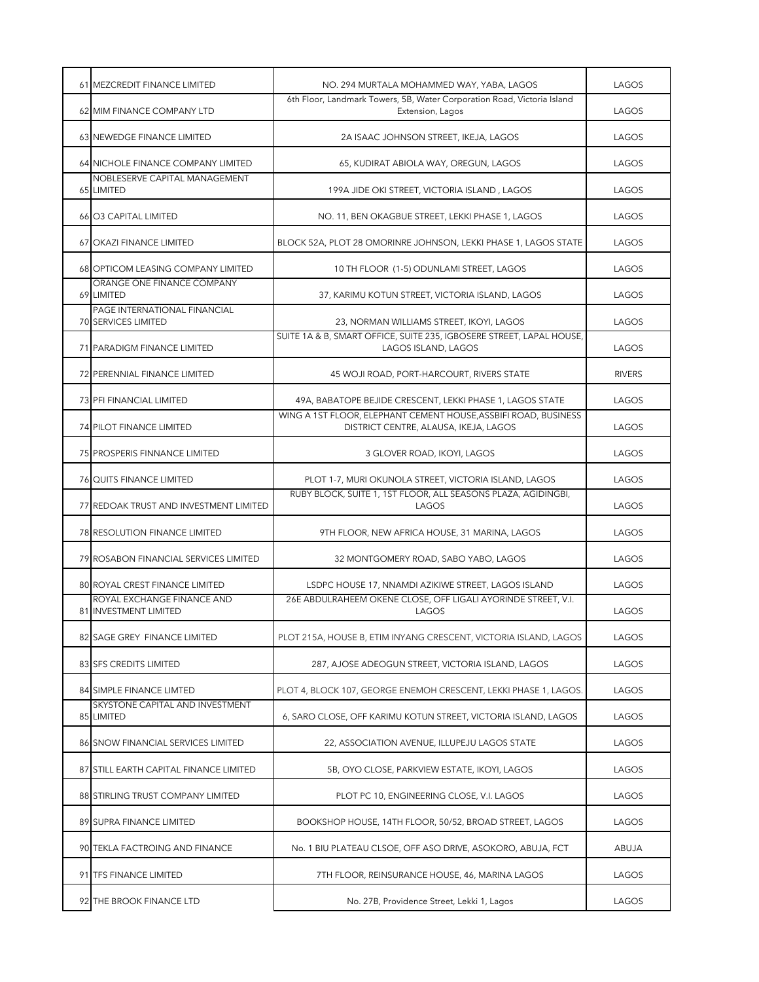| 61 MEZCREDIT FINANCE LIMITED                        | NO. 294 MURTALA MOHAMMED WAY, YABA, LAGOS                                                                | LAGOS         |
|-----------------------------------------------------|----------------------------------------------------------------------------------------------------------|---------------|
| 62 MIM FINANCE COMPANY LTD                          | 6th Floor, Landmark Towers, 5B, Water Corporation Road, Victoria Island<br>Extension, Lagos              | LAGOS         |
| <b>63 NEWEDGE FINANCE LIMITED</b>                   | 2A ISAAC JOHNSON STREET, IKEJA, LAGOS                                                                    | LAGOS         |
| 64 NICHOLE FINANCE COMPANY LIMITED                  | 65, KUDIRAT ABIOLA WAY, OREGUN, LAGOS                                                                    | LAGOS         |
| NOBLESERVE CAPITAL MANAGEMENT<br>65 LIMITED         | 199A JIDE OKI STREET, VICTORIA ISLAND, LAGOS                                                             | LAGOS         |
| 66 03 CAPITAL LIMITED                               | NO. 11, BEN OKAGBUE STREET, LEKKI PHASE 1, LAGOS                                                         | LAGOS         |
| 67 OKAZI FINANCE LIMITED                            | BLOCK 52A, PLOT 28 OMORINRE JOHNSON, LEKKI PHASE 1, LAGOS STATE                                          | LAGOS         |
| 68 OPTICOM LEASING COMPANY LIMITED                  | 10 TH FLOOR (1-5) ODUNLAMI STREET, LAGOS                                                                 | LAGOS         |
| ORANGE ONE FINANCE COMPANY<br>69 LIMITED            | 37, KARIMU KOTUN STREET, VICTORIA ISLAND, LAGOS                                                          | LAGOS         |
| PAGE INTERNATIONAL FINANCIAL<br>70 SERVICES LIMITED | 23, NORMAN WILLIAMS STREET, IKOYI, LAGOS                                                                 | LAGOS         |
| 71 PARADIGM FINANCE LIMITED                         | SUITE 1A & B, SMART OFFICE, SUITE 235, IGBOSERE STREET, LAPAL HOUSE,<br>LAGOS ISLAND, LAGOS              | LAGOS         |
| 72 PERENNIAL FINANCE LIMITED                        | 45 WOJI ROAD, PORT-HARCOURT, RIVERS STATE                                                                | <b>RIVERS</b> |
| 73 PFI FINANCIAL LIMITED                            | 49A, BABATOPE BEJIDE CRESCENT, LEKKI PHASE 1, LAGOS STATE                                                | LAGOS         |
| 74 PILOT FINANCE LIMITED                            | WING A 1ST FLOOR, ELEPHANT CEMENT HOUSE, ASSBIFI ROAD, BUSINESS<br>DISTRICT CENTRE, ALAUSA, IKEJA, LAGOS | LAGOS         |
| 75 PROSPERIS FINNANCE LIMITED                       | 3 GLOVER ROAD, IKOYI, LAGOS                                                                              | LAGOS         |
| <b>76 QUITS FINANCE LIMITED</b>                     | PLOT 1-7, MURI OKUNOLA STREET, VICTORIA ISLAND, LAGOS                                                    | LAGOS         |
| 77 REDOAK TRUST AND INVESTMENT LIMITED              | RUBY BLOCK, SUITE 1, 1ST FLOOR, ALL SEASONS PLAZA, AGIDINGBI,<br>LAGOS                                   | LAGOS         |
| 78 RESOLUTION FINANCE LIMITED                       | 9TH FLOOR, NEW AFRICA HOUSE, 31 MARINA, LAGOS                                                            | LAGOS         |
| 79 ROSABON FINANCIAL SERVICES LIMITED               | 32 MONTGOMERY ROAD, SABO YABO, LAGOS                                                                     | LAGOS         |
| <b>80 ROYAL CREST FINANCE LIMITED</b>               | LSDPC HOUSE 17, NNAMDI AZIKIWE STREET, LAGOS ISLAND                                                      | LAGOS         |
| ROYAL EXCHANGE FINANCE AND<br>81 INVESTMENT LIMITED | 26E ABDULRAHEEM OKENE CLOSE, OFF LIGALI AYORINDE STREET, V.I.<br>LAGOS                                   | LAGOS         |
| 82 SAGE GREY FINANCE LIMITED                        | PLOT 215A, HOUSE B, ETIM INYANG CRESCENT, VICTORIA ISLAND, LAGOS                                         | LAGOS         |
| 83 SFS CREDITS LIMITED                              | 287, AJOSE ADEOGUN STREET, VICTORIA ISLAND, LAGOS                                                        | LAGOS         |
| 84 SIMPLE FINANCE LIMTED                            | PLOT 4, BLOCK 107, GEORGE ENEMOH CRESCENT, LEKKI PHASE 1, LAGOS.                                         | LAGOS         |
| SKYSTONE CAPITAL AND INVESTMENT<br>85 LIMITED       | 6, SARO CLOSE, OFF KARIMU KOTUN STREET, VICTORIA ISLAND, LAGOS                                           | LAGOS         |
| 86 SNOW FINANCIAL SERVICES LIMITED                  | 22, ASSOCIATION AVENUE, ILLUPEJU LAGOS STATE                                                             | LAGOS         |
| 87 STILL EARTH CAPITAL FINANCE LIMITED              | 5B, OYO CLOSE, PARKVIEW ESTATE, IKOYI, LAGOS                                                             | LAGOS         |
| 88 STIRLING TRUST COMPANY LIMITED                   | PLOT PC 10, ENGINEERING CLOSE, V.I. LAGOS                                                                | LAGOS         |
| 89 SUPRA FINANCE LIMITED                            | BOOKSHOP HOUSE, 14TH FLOOR, 50/52, BROAD STREET, LAGOS                                                   | LAGOS         |
| 90 TEKLA FACTROING AND FINANCE                      | No. 1 BIU PLATEAU CLSOE, OFF ASO DRIVE, ASOKORO, ABUJA, FCT                                              | ABUJA         |
| 91 TFS FINANCE LIMITED                              | 7TH FLOOR, REINSURANCE HOUSE, 46, MARINA LAGOS                                                           | LAGOS         |
| 92 THE BROOK FINANCE LTD                            | No. 27B, Providence Street, Lekki 1, Lagos                                                               | LAGOS         |
|                                                     |                                                                                                          |               |